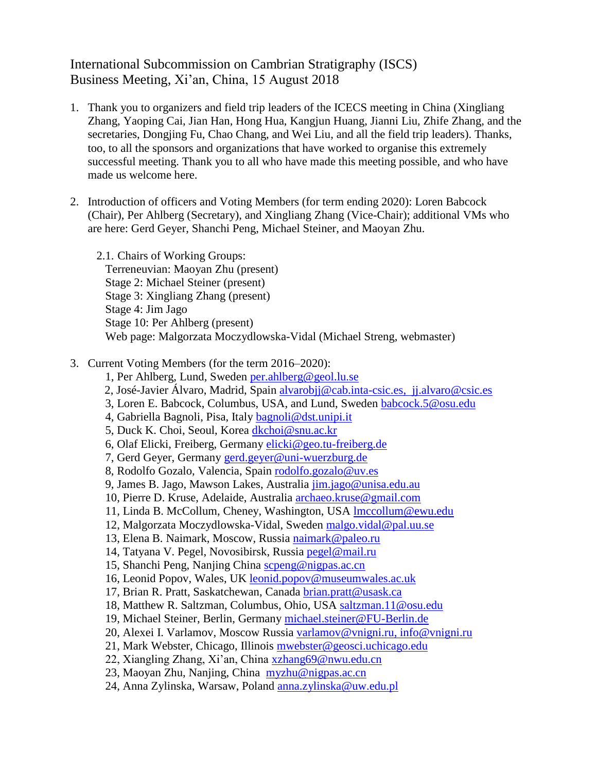## International Subcommission on Cambrian Stratigraphy (ISCS) Business Meeting, Xi'an, China, 15 August 2018

- 1. Thank you to organizers and field trip leaders of the ICECS meeting in China (Xingliang Zhang, Yaoping Cai, Jian Han, Hong Hua, Kangjun Huang, Jianni Liu, Zhife Zhang, and the secretaries, Dongjing Fu, Chao Chang, and Wei Liu, and all the field trip leaders). Thanks, too, to all the sponsors and organizations that have worked to organise this extremely successful meeting. Thank you to all who have made this meeting possible, and who have made us welcome here.
- 2. Introduction of officers and Voting Members (for term ending 2020): Loren Babcock (Chair), Per Ahlberg (Secretary), and Xingliang Zhang (Vice-Chair); additional VMs who are here: Gerd Geyer, Shanchi Peng, Michael Steiner, and Maoyan Zhu.
	- 2.1. Chairs of Working Groups: Terreneuvian: Maoyan Zhu (present) Stage 2: Michael Steiner (present) Stage 3: Xingliang Zhang (present) Stage 4: Jim Jago Stage 10: Per Ahlberg (present) Web page: Malgorzata Moczydlowska-Vidal (Michael Streng, webmaster)

## 3. Current Voting Members (for the term 2016–2020):

- 1, Per Ahlberg, Lund, Sweden [per.ahlberg@geol.lu.se](mailto:per.ahlberg@geol.lu.se)
- 2, José-Javier Álvaro, Madrid, Spain [alvarobjj@cab.inta-csic.es,](mailto:alvarobjj@cab.inta-csic.es) [jj.alvaro@csic.es](mailto:jj.alvaro@csic.es)
- 3, Loren E. Babcock, Columbus, USA, and Lund, Sweden [babcock.5@osu.edu](mailto:babcock.5@osu.edu)
- 4, Gabriella Bagnoli, Pisa, Italy [bagnoli@dst.unipi.it](mailto:bagnoli@dst.unipi.it)
- 5, Duck K. Choi, Seoul, Korea [dkchoi@snu.ac.kr](mailto:dkchoi@snu.ac.kr)
- 6, Olaf Elicki, Freiberg, Germany [elicki@geo.tu-freiberg.de](mailto:elicki@geo.tu-freiberg.de)
- 7, Gerd Geyer, Germany [gerd.geyer@uni-wuerzburg.de](mailto:gerd.geyer@uni-wuerzburg.de)
- 8, Rodolfo Gozalo, Valencia, Spain [rodolfo.gozalo@uv.es](mailto:rodolfo.gozalo@uv.es)
- 9, James B. Jago, Mawson Lakes, Australia [jim.jago@unisa.edu.au](mailto:jim.jago@unisa.edu.au)
- 10, Pierre D. Kruse, Adelaide, Australia [archaeo.kruse@gmail.com](mailto:archaeo.kruse@gmail.com)
- 11, Linda B. McCollum, Cheney, Washington, USA [lmccollum@ewu.edu](mailto:lmccollum@ewu.edu)
- 12, Malgorzata Moczydlowska-Vidal, Sweden [malgo.vidal@pal.uu.se](mailto:malgo.vidal@pal.uu.se)
- 13, Elena B. Naimark, Moscow, Russia [naimark@paleo.ru](mailto:naimark@paleo.ru)
- 14, Tatyana V. Pegel, Novosibirsk, Russia [pegel@mail.ru](mailto:pegel@mail.ru)
- 15, Shanchi Peng, Nanjing China [scpeng@nigpas.ac.cn](mailto:scpeng@nigpas.ac.cn)
- 16, Leonid Popov, Wales, UK leonid.popov@museumwales.ac.uk
- 17, Brian R. Pratt, Saskatchewan, Canada [brian.pratt@usask.ca](mailto:brian.pratt@usask.ca)
- 18, Matthew R. Saltzman, Columbus, Ohio, USA [saltzman.11@osu.edu](mailto:saltzman.11@osu.edu)
- 19, Michael Steiner, Berlin, Germany [michael.steiner@FU-Berlin.de](mailto:michael.steiner@FU-Berlin.de)
- 20, Alexei I. Varlamov, Moscow Russia [varlamov@vnigni.ru,](mailto:varlamov@vnigni.ru) [info@vnigni.ru](mailto:info@vnigni.ru)
- 21, Mark Webster, Chicago, Illinois [mwebster@geosci.uchicago.edu](mailto:mwebster@geosci.uchicago.edu)
- 22, Xiangling Zhang, Xi'an, China [xzhang69@nwu.edu.cn](mailto:xzhang69@nwu.edu.cn)
- 23, Maoyan Zhu, Nanjing, China [myzhu@nigpas.ac.cn](mailto:myzhu@nigpas.ac.cn)
- 24, Anna Zylinska, Warsaw, Poland [anna.zylinska@uw.edu.pl](mailto:anna.zylinska@uw.edu.pl)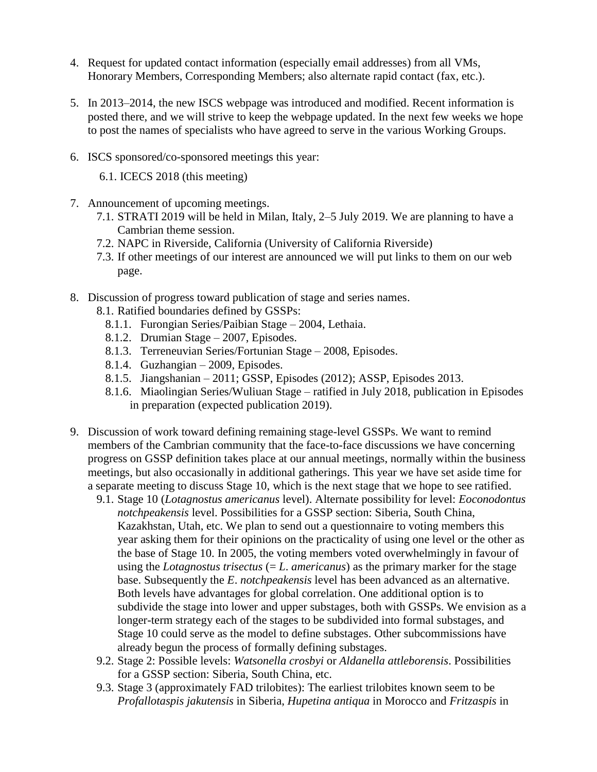- 4. Request for updated contact information (especially email addresses) from all VMs, Honorary Members, Corresponding Members; also alternate rapid contact (fax, etc.).
- 5. In 2013–2014, the new ISCS webpage was introduced and modified. Recent information is posted there, and we will strive to keep the webpage updated. In the next few weeks we hope to post the names of specialists who have agreed to serve in the various Working Groups.
- 6. ISCS sponsored/co-sponsored meetings this year:

6.1. ICECS 2018 (this meeting)

- 7. Announcement of upcoming meetings.
	- 7.1. STRATI 2019 will be held in Milan, Italy, 2–5 July 2019. We are planning to have a Cambrian theme session.
	- 7.2. NAPC in Riverside, California (University of California Riverside)
	- 7.3. If other meetings of our interest are announced we will put links to them on our web page.
- 8. Discussion of progress toward publication of stage and series names.
	- 8.1. Ratified boundaries defined by GSSPs:
		- 8.1.1. Furongian Series/Paibian Stage 2004, Lethaia.
		- 8.1.2. Drumian Stage 2007, Episodes.
		- 8.1.3. Terreneuvian Series/Fortunian Stage 2008, Episodes.
		- 8.1.4. Guzhangian 2009, Episodes.
		- 8.1.5. Jiangshanian 2011; GSSP, Episodes (2012); ASSP, Episodes 2013.
		- 8.1.6. Miaolingian Series/Wuliuan Stage ratified in July 2018, publication in Episodes in preparation (expected publication 2019).
- 9. Discussion of work toward defining remaining stage-level GSSPs. We want to remind members of the Cambrian community that the face-to-face discussions we have concerning progress on GSSP definition takes place at our annual meetings, normally within the business meetings, but also occasionally in additional gatherings. This year we have set aside time for a separate meeting to discuss Stage 10, which is the next stage that we hope to see ratified.
	- 9.1. Stage 10 (*Lotagnostus americanus* level). Alternate possibility for level: *Eoconodontus notchpeakensis* level. Possibilities for a GSSP section: Siberia, South China, Kazakhstan, Utah, etc. We plan to send out a questionnaire to voting members this year asking them for their opinions on the practicality of using one level or the other as the base of Stage 10. In 2005, the voting members voted overwhelmingly in favour of using the *Lotagnostus trisectus*  $(= L$ . *americanus*) as the primary marker for the stage base. Subsequently the *E*. *notchpeakensis* level has been advanced as an alternative. Both levels have advantages for global correlation. One additional option is to subdivide the stage into lower and upper substages, both with GSSPs. We envision as a longer-term strategy each of the stages to be subdivided into formal substages, and Stage 10 could serve as the model to define substages. Other subcommissions have already begun the process of formally defining substages.
	- 9.2. Stage 2: Possible levels: *Watsonella crosbyi* or *Aldanella attleborensis*. Possibilities for a GSSP section: Siberia, South China, etc.
	- 9.3. Stage 3 (approximately FAD trilobites): The earliest trilobites known seem to be *Profallotaspis jakutensis* in Siberia, *Hupetina antiqua* in Morocco and *Fritzaspis* in